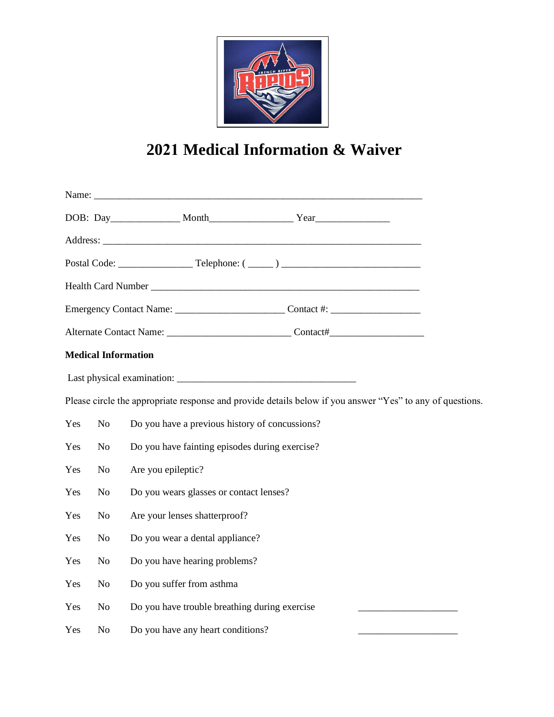

## **2021 Medical Information & Waiver**

|     |                | <b>Medical Information</b>                                                                                |  |
|-----|----------------|-----------------------------------------------------------------------------------------------------------|--|
|     |                |                                                                                                           |  |
|     |                | Please circle the appropriate response and provide details below if you answer "Yes" to any of questions. |  |
| Yes | N <sub>o</sub> | Do you have a previous history of concussions?                                                            |  |
| Yes | N <sub>o</sub> | Do you have fainting episodes during exercise?                                                            |  |
| Yes | N <sub>o</sub> | Are you epileptic?                                                                                        |  |
| Yes | No             | Do you wears glasses or contact lenses?                                                                   |  |
| Yes | No             | Are your lenses shatterproof?                                                                             |  |
| Yes | N <sub>o</sub> | Do you wear a dental appliance?                                                                           |  |
| Yes | N <sub>o</sub> | Do you have hearing problems?                                                                             |  |
| Yes | N <sub>o</sub> | Do you suffer from asthma                                                                                 |  |
| Yes | No             | Do you have trouble breathing during exercise                                                             |  |
| Yes | N <sub>o</sub> | Do you have any heart conditions?                                                                         |  |